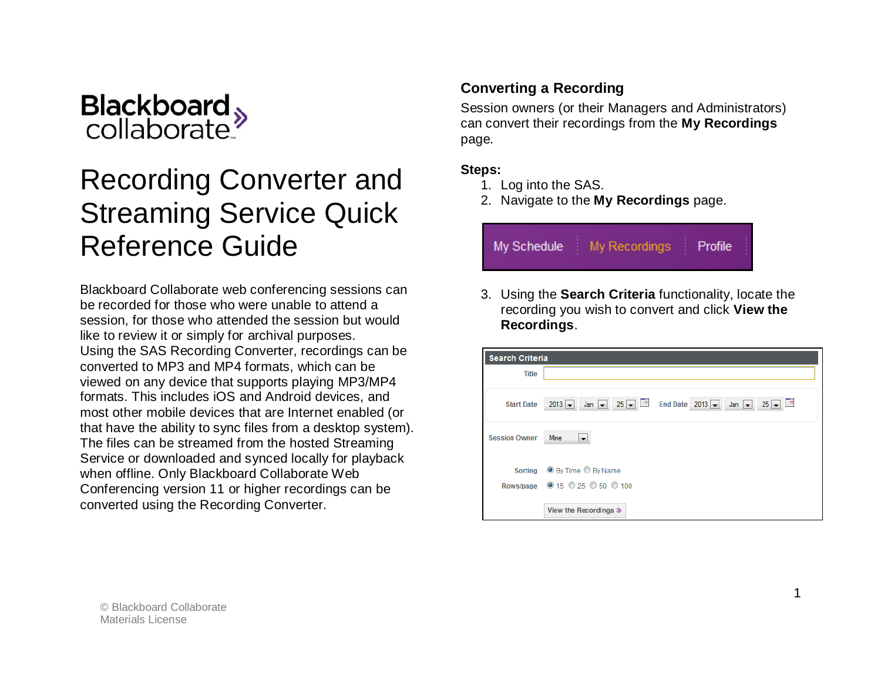

# Recording Converter and Streaming Service Quick Reference Guide

Blackboard Collaborate web conferencing sessions can be recorded for those who were unable to attend a session, for those who attended the session but would like to review it or simply for archival purposes. Using the SAS Recording Converter, recordings can be converted to MP3 and MP4 formats, which can be viewed on any device that supports playing MP3/MP4 formats. This includes iOS and Android devices, and most other mobile devices that are Internet enabled (or that have the ability to sync files from a desktop system). The files can be streamed from the hosted Streaming Service or downloaded and synced locally for playback when offline. Only Blackboard Collaborate Web Conferencing version 11 or higher recordings can be converted using the Recording Converter.

#### **Converting a Recording**

Session owners (or their Managers and Administrators) can convert their recordings from the **My Recordings** page.

#### **Steps:**

- 1. Log into the SAS.
- 2. Navigate to the **My Recordings** page.



3. Using the **Search Criteria** functionality, locate the recording you wish to convert and click **View the Recordings**.

| <b>Search Criteria</b> |                                                                               |  |  |  |
|------------------------|-------------------------------------------------------------------------------|--|--|--|
| <b>Title</b>           |                                                                               |  |  |  |
|                        |                                                                               |  |  |  |
| <b>Start Date</b>      | $25 - 2013 -$<br>$25 - 7$<br>$Jan \rightarrow$<br>$2013 -$<br>$Jan$ $\bullet$ |  |  |  |
|                        |                                                                               |  |  |  |
| <b>Session Owner</b>   | Mine<br>$\blacksquare$                                                        |  |  |  |
|                        |                                                                               |  |  |  |
|                        | Sorting <b>O</b> By Time C By Name                                            |  |  |  |
|                        | Rows/page @ 15 @ 25 @ 50 @ 100                                                |  |  |  |
|                        |                                                                               |  |  |  |
|                        | View the Recordings $\gg$                                                     |  |  |  |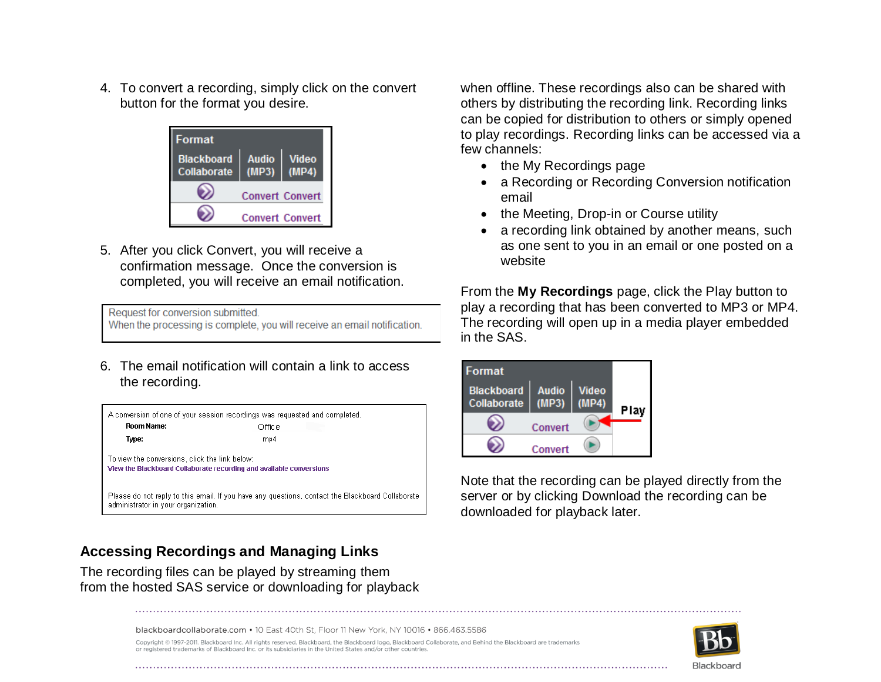4. To convert a recording, simply click on the convert button for the format you desire.



5. After you click Convert, you will receive a confirmation message. Once the conversion is completed, you will receive an email notification.

Request for conversion submitted. When the processing is complete, you will receive an email notification.

6. The email notification will contain a link to access the recording.



### **Accessing Recordings and Managing Links**

The recording files can be played by streaming them from the hosted SAS service or downloading for playback when offline. These recordings also can be shared with others by distributing the recording link. Recording links can be copied for distribution to others or simply opened to play recordings. Recording links can be accessed via a few channels:

- the My Recordings page
- a Recording or Recording Conversion notification email
- the Meeting, Drop-in or Course utility
- a recording link obtained by another means, such as one sent to you in an email or one posted on a website

From the **My Recordings** page, click the Play button to play a recording that has been converted to MP3 or MP4. The recording will open up in a media player embedded in the SAS.

| Format                           |                      |              |      |
|----------------------------------|----------------------|--------------|------|
| <b>Blackboard</b><br>Collaborate | <b>Audio</b><br>(MP3 | <b>Video</b> | Play |
|                                  | Convert              |              |      |
|                                  | Convert              |              |      |

Note that the recording can be played directly from the server or by clicking Download the recording can be downloaded for playback later.